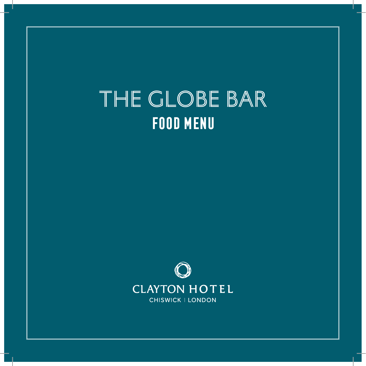# THE GLOBE BAR **FOOD MENU**

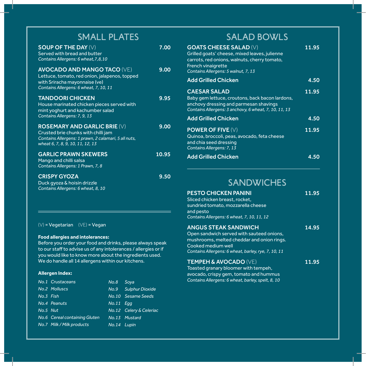| SMALL PLATES                                                                                                                                                           |       |
|------------------------------------------------------------------------------------------------------------------------------------------------------------------------|-------|
| <b>SOUP OF THE DAY (V)</b><br>Served with bread and butter<br>Contains Allergens: 6 wheat, 7, 8, 10                                                                    | 7.00  |
| <b>AVOCADO AND MANGO TACO (VE)</b><br>Lettuce, tomato, red onion, jalapenos, topped<br>with Sriracha mayonnaise (ve)<br>Contains Allergens: 6 wheat, 7, 10, 11         | 9.00  |
| <b>TANDOORI CHICKEN</b><br>House marinated chicken pieces served with<br>mint yoghurt and kachumber salad<br>Contains Allergens: 7, 9, 13                              | 9.95  |
| <b>ROSEMARY AND GARLIC BRIE (V)</b><br>Crusted brie chunks with chilli jam<br>Contains Allergens: 1 prawn, 2 calamari, 5 all nuts,<br>wheat 6, 7, 8, 9, 10, 11, 12, 13 | 9.00  |
| <b>GARLIC PRAWN SKEWERS</b><br>Mango and chilli salsa<br>Contains Allergens: 1 Prawn, 7, 8                                                                             | 10.95 |
| <b>CRISPY GYOZA</b><br>Duck gyoza & hoisin drizzle<br>Contains Allergens: 6 wheat, 8, 10                                                                               | 9.50  |

 $(V)$  = Vegetarian  $(VE)$  = Vegan

#### **Food allergies and intolerances:**

Before you order your food and drinks, please always speak to our staff to advise us of any intolerances / allergies or if you would like to know more about the ingredients used. We do handle all 14 allergens within our kitchens.

#### **Allergen Index:**

|           | No.1 Crustaceans              | No.8        | Soya                    |
|-----------|-------------------------------|-------------|-------------------------|
|           | No.2 Molluscs                 | No.9        | <b>Sulphur Dioxide</b>  |
| No.3 Fish |                               |             | No.10 Sesame Seeds      |
|           | No.4 Peanuts                  | $No.11$ Egg |                         |
| No.5 Nut  |                               |             | No.12 Celery & Celeriac |
|           | No.6 Cereal containing Gluten |             | No.13 Mustard           |
|           | No.7 Milk / Milk products     | No.14 Lupin |                         |
|           |                               |             |                         |

## SALAD BOWLS

| <b>GOATS CHEESE SALAD (V)</b><br>Grilled goats' cheese, mixed leaves, julienne<br>carrots, red onions, walnuts, cherry tomato,<br><b>French vinaigrette</b><br>Contains Allergens: 5 walnut, 7, 13 | 11.95 |
|----------------------------------------------------------------------------------------------------------------------------------------------------------------------------------------------------|-------|
| <b>Add Grilled Chicken</b>                                                                                                                                                                         | 4.50  |
| <b>CAESAR SALAD</b><br>Baby gem lettuce, croutons, back bacon lardons,<br>anchovy dressing and parmesan shavings<br>Contains Allergens: 3 anchovy, 6 wheat, 7, 10, 11, 13                          | 11.95 |
| <b>Add Grilled Chicken</b>                                                                                                                                                                         | 4.50  |
| <b>POWER OF FIVE <math>(V)</math></b><br>Quinoa, broccoli, peas, avocado, feta cheese<br>and chia seed dressing<br>Contains Allergens: 7, 13                                                       | 11.95 |
| <b>Add Grilled Chicken</b>                                                                                                                                                                         |       |

### SANDWICHES

| PESTO CHICKEN PANINI<br>Sliced chicken breast, rocket,<br>sundried tomato, mozzarella cheese<br>and pesto<br>Contains Allergens: 6 wheat, 7, 10, 11, 12                                             | 11.95 |
|-----------------------------------------------------------------------------------------------------------------------------------------------------------------------------------------------------|-------|
| <u>ANGUS STEAK SANDWICH</u><br>Open sandwich served with sauteed onions,<br>mushrooms, melted cheddar and onion rings.<br>Cooked medium well<br>Contains Allergens: 6 wheat, barley, rye, 7, 10, 11 | 14.95 |
| <b>TEMPEH &amp; AVOCADO (VE)</b><br>Toasted granary bloomer with tempeh,                                                                                                                            | 11.95 |

avocado, crispy gem, tomato and hummus *Contains Allergens: 6 wheat, barley, spelt, 8, 10*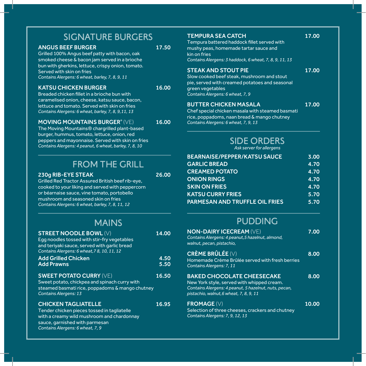### SIGNATURE BURGERS

### ANGUS BEEF BURGER 17.50

Grilled 100% Angus beef patty with bacon, oak smoked cheese & bacon jam served in a brioche bun with gherkins, lettuce, crispy onion, tomato. Served with skin on fries *Contains Alergens: 6 wheat, barley, 7, 8, 9, 11*

### KATSU CHICKEN BURGER 16.00

Breaded chicken fillet in a brioche bun with caramelised onion, cheese, katsu sauce, bacon, lettuce and tomato. Served with skin on fries *Contains Alergens: 6 wheat, barley, 7, 8, 9,11, 13*

### MOVING MOUNTAINS BURGER<sup>®</sup> (VE) 16.00

The Moving Mountains® chargrilled plant-based burger, hummus, tomato, lettuce, onion, red peppers and mayonnaise. Served with skin on fries *Contains Alergens: 4 peanut, 6 wheat, barley, 7, 8, 10*

### FROM THE GRILL

#### 230g RIB-EYE STEAK 26.00

sauce, garnished with parmesan *Contains Alergens: 6 wheat, 7, 9*

Grilled Red Tractor Assured British beef rib-eye, cooked to your liking and served with peppercorn or béarnaise sauce, vine tomato, portobello mushroom and seasoned skin on fries *Contains Alergens: 6 wheat, barley, 7, 8, 11, 12*

### MAINS

| <b>STREET NOODLE BOWL (V)</b><br>Egg noodles tossed with stir-fry vegetables<br>and teriyaki sauce, served with garlic bread<br>Contains Alergens: 6 wheat, 7 8, 10, 11, 12 | 14.00        |
|-----------------------------------------------------------------------------------------------------------------------------------------------------------------------------|--------------|
| <b>Add Grilled Chicken</b><br><b>Add Prawns</b>                                                                                                                             | 4.50<br>5.50 |
| <b>SWEET POTATO CURRY (VE)</b><br>Sweet potato, chickpea and spinach curry with<br>steamed basmati rice, poppadoms & mango chutney<br><b>Contains Alergens: 13</b>          | 16.50        |
| <b>CHICKEN TAGLIATELLE</b><br>Tender chicken pieces tossed in tagliatelle<br>with a creamy wild mushroom and chardonnay                                                     | 16.95        |

#### TEMPURA SEA CATCH 17.00

Tempura battered haddock fillet served with mushy peas, homemade tartar sauce and kin on fries *Contains Alergens: 3 haddock, 6 wheat, 7, 8, 9, 11, 13*

#### STEAK AND STOUT PIE 17.00

Slow cooked beef steak, mushroom and stout pie, served with creamed potatoes and seasonal green vegetables *Contains Alergens: 6 wheat, 7, 9*

#### BUTTER CHICKEN MASALA 17.00

Chef special chicken masala with steamed basmati rice, poppadoms, naan bread & mango chutney *Contains Alergens: 6 wheat, 7, 9, 13* 

### SIDE ORDERS

*Ask server for allergens*

| <b>BEARNAISE/PEPPER/KATSU SAUCE</b>   | 3.00 |
|---------------------------------------|------|
| <b>GARLIC BREAD</b>                   | 4.70 |
| <b>CREAMED POTATO</b>                 | 4.70 |
| <b>ONION RINGS</b>                    | 4.70 |
| <b>SKIN ON FRIES</b>                  | 4.70 |
| <b>KATSU CURRY FRIES</b>              | 5.70 |
| <b>PARMESAN AND TRUFFLE OIL FRIES</b> | 5.70 |
|                                       |      |

### PUDDING

| <b>NON-DAIRY ICECREAM (VE)</b><br>Contains Alergens: 4 peanut, 5 hazelnut, almond,<br>walnut, pecan, pistachio,                                                              | 7.00  |
|------------------------------------------------------------------------------------------------------------------------------------------------------------------------------|-------|
| CRÈME BRÛLÉE (V)<br>Homemade Crème Brûlée served with fresh berries<br>Contains Alergens: 7, 11                                                                              | 8.00  |
| BAKED CHOCOLATE CHEESECAKE<br>New York style, served with whipped cream.<br>Contains Alergens: 4 peanut, 5 hazelnut, nuts, pecan,<br>pistachio, walnut, 6 wheat, 7, 8, 9, 11 | 8.00  |
| $FROMAGE (V)$<br>Selection of three cheeses, crackers and chutney<br>Contains Alergens: 7, 9, 12, 13                                                                         | 10.00 |